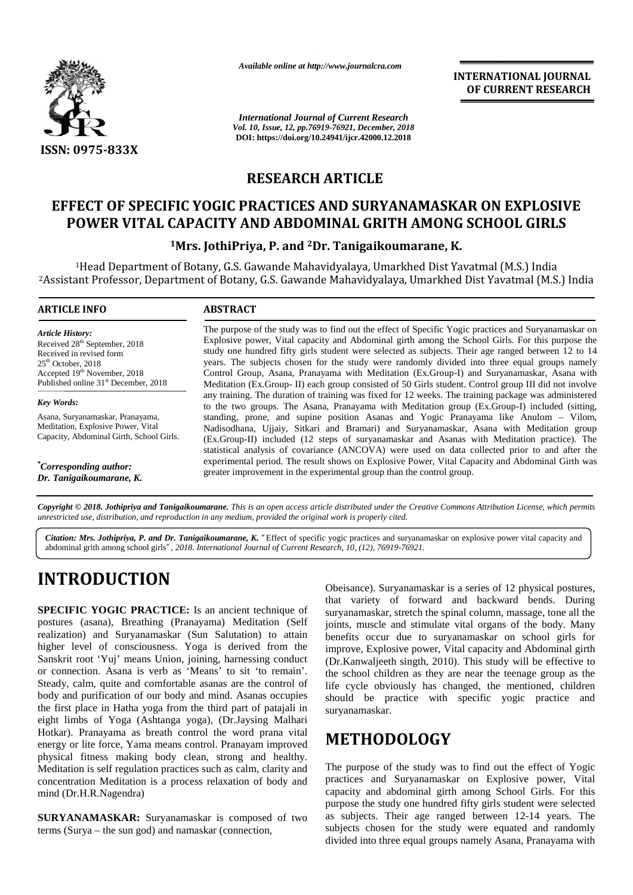

*Available online at http://www.journalcra.com*

*International Journal of Current Research Vol. 10, Issue, 12, pp.76919-76921, December, 2018* **DOI: https://doi.org/10.24941/ijcr.42000.12.2018**

**INTERNATIONAL JOURNAL OF CURRENT RESEARCH**

## **RESEARCH ARTICLE**

## **EFFECT OF SPECIFIC YOGIC PRACTICES AND SURYANAMASKAR ON EXPLOSIVE** EFFECT OF SPECIFIC YOGIC PRACTICES AND SURYANAMASKAR ON EXPLOSIVE<br>POWER VITAL CAPACITY AND ABDOMINAL GRITH AMONG SCHOOL GIRLS

#### **<sup>1</sup>Mrs. JothiPriya, P. and <sup>2</sup>Dr. Tanigaikoumarane, K. P. and**

<sup>1</sup>Head Department of Botany, G.S. Gawande Mahavidyalaya, Umarkhed Dist Yavatmal (M.S.) India Botany, G.S. Gawande <sup>2</sup>Assistant Professor, Department of Botany, G.S. Gawande Mahavidyalaya, Umarkhed Dist Yavatmal (M.S.) India <sup>2</sup>Assistant Yavatmal India

#### **ARTICLE INFO ABSTRACT ARTICLE ABSTRACT**

*Article History: Article History:* Received  $28<sup>th</sup>$  September, 2018 Received 28 September, 2018<br>Received in revised form<br>25<sup>th</sup> October, 2018<br>Accepted 19<sup>th</sup> November, 2018  $25<sup>th</sup> October, 2018$ Accepted 19<sup>th</sup> November, 2018 C Published online  $31<sup>st</sup>$  December, 2018

*Key Words:*

Asana, Suryanamaskar, Pranayama, Meditation, Explosive Power, Vital Published online 31 December, 2018<br>
Key Words:<br>
Asana, Suryanamaskar, Pranayama,<br>
Meditation, Explosive Power, Vital<br>
Capacity, Abdominal Girth, School Girls.

*\*Corresponding author: Mrs. Jothi Priya, P., \*Corresponding author: Priya, P.,Dr. Tanigaikoumarane, K.*

The purpose of the study was to find out the effect of Specific Yogic practices and Suryanamaskar on Explosive power, Vital capacity and Abdominal girth among the School Girls. For this purpose the study one hundred fifty girls student were selected as subjects. Their age ranged between 12 to 14 years. The subjects chosen for the study were randomly divided into three equal groups namely Control Group, Asana, Pranayama with Meditation (Ex.Group-I) and Suryanamaskar, Asana with Meditation (Ex.Group- II) each group consisted of 50 Girls student. Control group III did not involve any training. The duration of training was fixed for 12 weeks. The training package was administered to the two groups. The Asana, Pranayama with Meditation group (Ex.Group-I) included (sitting, standing, prone, and supine position Asanas and Yogic Pranayama like Anulom – Vilom, Nadisodhana, Ujjaiy, Sitkari and Bramari) and Suryanamaskar, Asana with Meditation group (Ex.Group-II) included (12 steps of suryanamaskar and Asanas with Meditation practice). The statistical analysis of covariance (ANCOVA) were used on data collected prior to and after the experimental period. The result shows on Explosive Power, Vital Capacity and Abdominal Girth was greater improvement in the experimental group than the control group. The purpose of the study was to find out the effect of Specific Yogic practices and Suryanamaskar on Explosive power, Vital capacity and Abdominal girth among the School Girls. For this purpose the study one hundred fifty **SSAY**<br> **RESEARCH ARTICLE SAND SURVANAMASKAR ON EXPLOSIVE SET CONDUCTED AND RESEARCH ARTICLE AND DEPARAMASKAR ON EXPLOSIVE SAND SURVANAMASKAR ON EXPLOSIVE SAND SURVANAMASKAR ON EXPLOSIVE SAND SURVANAMASKAR ON EXPLOSIVE S** Cocived 28<sup>th</sup> September, 2018<br> *Mrs.*<sup>41</sup> (<sup>1</sup> (2018 cocived in revised form study one hundred fifty grils student were selectived in evised to the study term of the study of Cocher, 2018<br> *Mrs.*<br> *Mrs.* The subjects cho

**Copyright © 2018. Jothipriya and Tanigaikoumarane.** This is an open access article distributed under the Creative Commons Attribution License, which permits unrestricted use, distribution, and reproduction in any medium, provided the original work is properly cited.

*Citation: Mrs. Jothipriya, P. and Dr. Tanigaikoumarane, K. "*Effect of specific yogic practices and suryanamaskar on explosive power vital capacity and abdominal grith among school girls*", 2018. International Journal of Current Research, 10, (12), 76919-76921.*

# **INTRODUCTION INTRODUCTION**

**SPECIFIC YOGIC PRACTICE:** Is an ancient technique of postures (asana), Breathing (Pranayama) Meditation (Self io realization) and Suryanamaskar (Sun Salutation) to attain higher level of consciousness. Yoga is derived from the Sanskrit root 'Yuj' means Union, joining, harnessing conduct ( or connection. Asana is verb as 'Means' to sit 'to remain'. Steady, calm, quite and comfortable asanas are the control of body and purification of our body and mind. Asanas occupies the first place in Hatha yoga from the third part of patajali in surva eight limbs of Yoga (Ashtanga yoga), (Dr.Jaysing Malhari Hotkar). Pranayama as breath control the word prana vital energy or lite force, Yama means control. Pranayam improved physical fitness making body clean, strong and healthy. Meditation is self regulation practices such as calm, clarity and concentration Meditation is a process relaxation of body and mind (Dr.H.R.Nagendra) **SPECIFIC YOGIC PRACTICE:** Is an ancient technique postures (asana), Breathing (Pranayama) Meditation (Sinealization) and Suryanamaskar (Sun Salutation) to attaigher level of consciousness. Yoga is derived from t Steady, calm, quite and comfortable asanas are the control of<br>body and purification of our body and mind. Asanas occupies<br>the first place in Hatha yoga from the third part of patajali in<br>eight limbs of Yoga (Ashtanga yoga) Hotkar). Pranayama as breath control the word prana vital<br>energy or lite force, Yama means control. Pranayam improved<br>physical fitness making body clean, strong and healthy.<br>Meditation is self regulation practices such as **SURTANY THE CONSTRANT CONSTRANT CONSTRANT CONSTRANT SIGN CONSTRANT SIGN and Substitute of the sumportion of the syntan masket, stretch the spinal column, massage, tone all the postures (asana), Breaking (Pranayama) Medita** 

**SURYANAMASKAR:** Suryanamaskar is composed of two terms (Surya – the sun god) and namaskar (connection,

Obeisance). Suryanamaskar is a series of 12 physical postures, that variety of forward and backward bends. During suryanamaskar, stretch the spinal column, massage, tone all the joints, muscle and stimulate vital organs of the body. Many benefits occur due to suryanamaskar on school girls for improve, Explosive power, Vital capacity and Abdominal girth (Dr.Kanwaljeeth singth, 2010). This study will be effective to the school children as they are near the teenage group as the life cycle obviously has changed, the mentioned, children should be practice with specific yogic practice and suryanamaskar. *P. and Dr. Tanigakommanne, K.* "Effect of specific yogic practices and survanamaskar on explosive power vital capacity and<br>
Jool girls", 2018. International Journal of Current Research, 10, (12), 76919-76921.<br>
<br> **RACTICE:** 

# **METHODOLOGY**

The purpose of the study was to find out the effect of Yogic practices and Suryanamaskar on Explosive power, Vital capacity and abdominal girth among School Girls. For this purpose the study one hundred fifty girls student were selected as subjects. Their age ranged between 12-14 years. The subjects chosen for the study were equated and randomly divided into three equal groups namely Asana, Pranayama with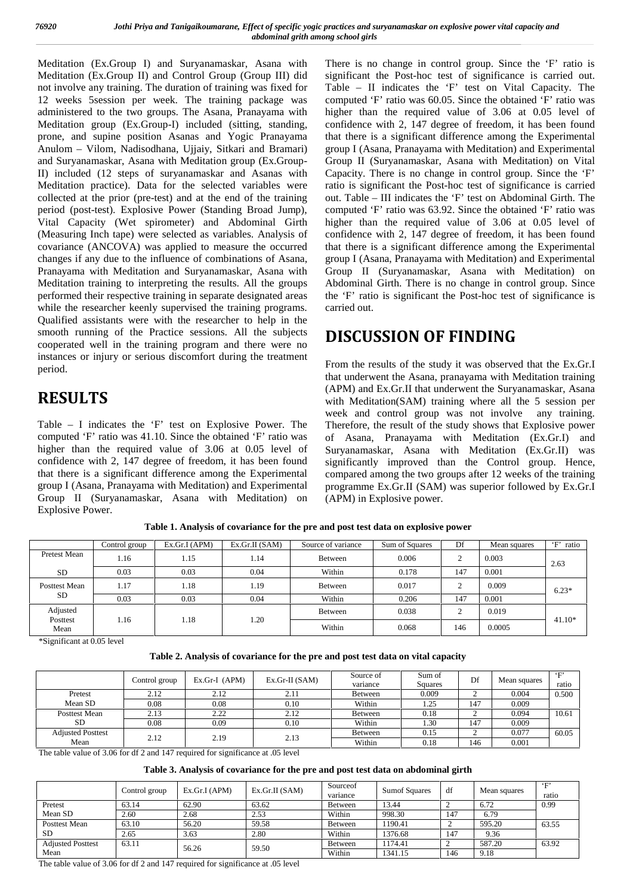Meditation (Ex.Group I) and Suryanamaskar, Asana with Meditation (Ex.Group II) and Control Group (Group III) did not involve any training. The duration of training was fixed for 12 weeks 5session per week. The training package was administered to the two groups. The Asana, Pranayama with Meditation group (Ex.Group-I) included (sitting, standing, prone, and supine position Asanas and Yogic Pranayama Anulom – Vilom, Nadisodhana, Ujjaiy, Sitkari and Bramari) and Suryanamaskar, Asana with Meditation group (Ex.Group-II) included (12 steps of suryanamaskar and Asanas with Meditation practice). Data for the selected variables were collected at the prior (pre-test) and at the end of the training period (post-test). Explosive Power (Standing Broad Jump), Vital Capacity (Wet spirometer) and Abdominal Girth (Measuring Inch tape) were selected as variables. Analysis of covariance (ANCOVA) was applied to measure the occurred changes if any due to the influence of combinations of Asana, Pranayama with Meditation and Suryanamaskar, Asana with Meditation training to interpreting the results. All the groups performed their respective training in separate designated areas while the researcher keenly supervised the training programs. Qualified assistants were with the researcher to help in the smooth running of the Practice sessions. All the subjects cooperated well in the training program and there were no instances or injury or serious discomfort during the treatment period.

# **RESULTS**

Table – I indicates the 'F' test on Explosive Power. The computed 'F' ratio was 41.10. Since the obtained 'F' ratio was higher than the required value of 3.06 at 0.05 level of confidence with 2, 147 degree of freedom, it has been found that there is a significant difference among the Experimental group I (Asana, Pranayama with Meditation) and Experimental Group II (Suryanamaskar, Asana with Meditation) on Explosive Power.

There is no change in control group. Since the 'F' ratio is significant the Post-hoc test of significance is carried out. Table – II indicates the 'F' test on Vital Capacity. The computed 'F' ratio was 60.05. Since the obtained 'F' ratio was higher than the required value of 3.06 at 0.05 level of confidence with 2, 147 degree of freedom, it has been found that there is a significant difference among the Experimental group I (Asana, Pranayama with Meditation) and Experimental Group II (Suryanamaskar, Asana with Meditation) on Vital Capacity. There is no change in control group. Since the 'F' ratio is significant the Post-hoc test of significance is carried out. Table – III indicates the 'F' test on Abdominal Girth. The computed 'F' ratio was 63.92. Since the obtained 'F' ratio was higher than the required value of 3.06 at 0.05 level of confidence with 2, 147 degree of freedom, it has been found that there is a significant difference among the Experimental group I (Asana, Pranayama with Meditation) and Experimental Group II (Suryanamaskar, Asana with Meditation) on Abdominal Girth. There is no change in control group. Since the 'F' ratio is significant the Post-hoc test of significance is carried out.

# **DISCUSSION OF FINDING**

From the results of the study it was observed that the Ex.Gr.I that underwent the Asana, pranayama with Meditation training (APM) and Ex.Gr.II that underwent the Suryanamaskar, Asana with Meditation(SAM) training where all the 5 session per week and control group was not involve any training. Therefore, the result of the study shows that Explosive power of Asana, Pranayama with Meditation (Ex.Gr.I) and Suryanamaskar, Asana with Meditation (Ex.Gr.II) was significantly improved than the Control group. Hence, compared among the two groups after 12 weeks of the training programme Ex.Gr.II (SAM) was superior followed by Ex.Gr.I (APM) in Explosive power.

|                              | Control group | Ex.Gr.I(APM) | Ex.Gr.II(SAM) | Source of variance | Sum of Squares | Df     | Mean squares | $\mathbf{F}$<br>ratio |  |
|------------------------------|---------------|--------------|---------------|--------------------|----------------|--------|--------------|-----------------------|--|
| Pretest Mean                 | 1.16          | 1.15         | 1.14          | Between            | 0.006          | ◠      | 0.003        | 2.63                  |  |
| <b>SD</b>                    | 0.03          | 0.03         | 0.04          | Within             | 0.178          | 147    | 0.001        |                       |  |
| Posttest Mean<br><b>SD</b>   | 1.17          | 1.18         | 1.19          | Between            | 0.017          | ◠<br>▵ | 0.009        | $6.23*$               |  |
|                              | 0.03          | 0.03         | 0.04          | Within             | 0.206          | 147    | 0.001        |                       |  |
| Adjusted<br>Posttest<br>Mean | 1.16          | 1.18         | 1.20          | Between            | 0.038          | ◠      | 0.019        | $41.10*$              |  |
|                              |               |              |               | Within             | 0.068          | 146    | 0.0005       |                       |  |

**Table 1. Analysis of covariance for the pre and post test data on explosive power**

\*Significant at 0.05 level

| Table 2. Analysis of covariance for the pre and post test data on vital capacity |  |
|----------------------------------------------------------------------------------|--|
|----------------------------------------------------------------------------------|--|

|                          | Control group | $Ex.Gr-I$ (APM) | $Ex.Gr-II(SAM)$ | Source of<br>variance | Sum of<br><b>Squares</b> | Df    | Mean squares | $\mathbf{F}$<br>ratio |
|--------------------------|---------------|-----------------|-----------------|-----------------------|--------------------------|-------|--------------|-----------------------|
| Pretest                  | 2.12          | 2.12            | 2.11            | Between               | 0.009                    |       | 0.004        | 0.500                 |
| Mean SD                  | 0.08          | 0.08            | 0.10            | Within                | 1.25                     | 147   | 0.009        |                       |
| <b>Posttest Mean</b>     | 2.13          | 2.22            | 2.12            | Between               | 0.18                     |       | 0.094        | 10.61                 |
| <b>SD</b>                | 0.08          | 0.09            | 0.10            | Within                | 1.30                     | 147   | 0.009        |                       |
| <b>Adjusted Posttest</b> | 2.12          | 2.19            | 2.13            | Between               | 0.15                     |       | 0.077        | 60.05                 |
| Mean                     |               |                 | Within          | 0.18                  | 146                      | 0.001 |              |                       |

The table value of 3.06 for df 2 and 147 required for significance at .05 level

#### **Table 3. Analysis of covariance for the pre and post test data on abdominal girth**

|                          | Control group | Ex.Gr.I(APM) | Ex.Gr.II(SAM) | Sourceof<br>variance | Sumof Squares | df  | Mean squares | $\leftarrow$<br>ratio |
|--------------------------|---------------|--------------|---------------|----------------------|---------------|-----|--------------|-----------------------|
| Pretest                  | 63.14         | 62.90        | 63.62         | Between              | 13.44         |     | 6.72         | 0.99                  |
| Mean SD                  | 2.60          | 2.68         | 2.53          | Within               | 998.30        | 147 | 6.79         |                       |
| <b>Posttest Mean</b>     | 63.10         | 56.20        | 59.58         | Between              | 1190.41       |     | 595.20       | 63.55                 |
| -SD                      | 2.65          | 3.63         | 2.80          | Within               | 1376.68       | 147 | 9.36         |                       |
| <b>Adjusted Posttest</b> | 63.11         | 56.26        | 59.50         | Between              | 1174.41       |     | 587.20       | 63.92                 |
| Mean                     |               |              |               | Within               | 1341.15       | 146 | 9.18         |                       |

The table value of 3.06 for df 2 and 147 required for significance at .05 level